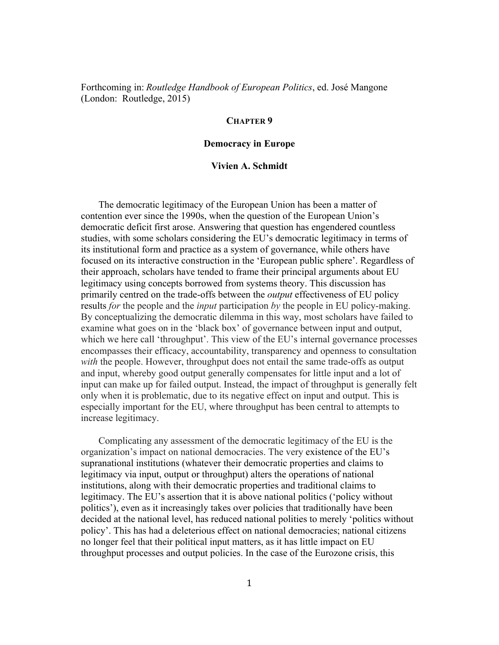Forthcoming in: *Routledge Handbook of European Politics*, ed. José Mangone (London: Routledge, 2015)

#### **CHAPTER 9**

### **Democracy in Europe**

# **Vivien A. Schmidt**

The democratic legitimacy of the European Union has been a matter of contention ever since the 1990s, when the question of the European Union's democratic deficit first arose. Answering that question has engendered countless studies, with some scholars considering the EU's democratic legitimacy in terms of its institutional form and practice as a system of governance, while others have focused on its interactive construction in the 'European public sphere'. Regardless of their approach, scholars have tended to frame their principal arguments about EU legitimacy using concepts borrowed from systems theory. This discussion has primarily centred on the trade-offs between the *output* effectiveness of EU policy results *for* the people and the *input* participation *by* the people in EU policy-making. By conceptualizing the democratic dilemma in this way, most scholars have failed to examine what goes on in the 'black box' of governance between input and output, which we here call 'throughput'. This view of the EU's internal governance processes encompasses their efficacy, accountability, transparency and openness to consultation *with* the people. However, throughput does not entail the same trade-offs as output and input, whereby good output generally compensates for little input and a lot of input can make up for failed output. Instead, the impact of throughput is generally felt only when it is problematic, due to its negative effect on input and output. This is especially important for the EU, where throughput has been central to attempts to increase legitimacy.

Complicating any assessment of the democratic legitimacy of the EU is the organization's impact on national democracies. The very existence of the EU's supranational institutions (whatever their democratic properties and claims to legitimacy via input, output or throughput) alters the operations of national institutions, along with their democratic properties and traditional claims to legitimacy. The EU's assertion that it is above national politics ('policy without politics'), even as it increasingly takes over policies that traditionally have been decided at the national level, has reduced national polities to merely 'politics without policy'. This has had a deleterious effect on national democracies; national citizens no longer feel that their political input matters, as it has little impact on EU throughput processes and output policies. In the case of the Eurozone crisis, this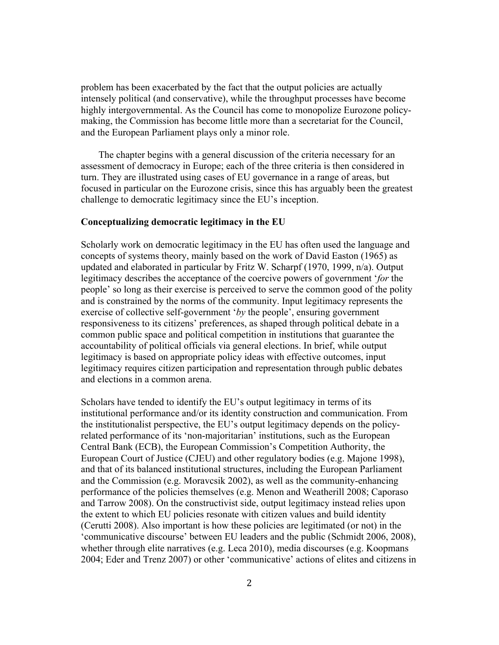problem has been exacerbated by the fact that the output policies are actually intensely political (and conservative), while the throughput processes have become highly intergovernmental. As the Council has come to monopolize Eurozone policymaking, the Commission has become little more than a secretariat for the Council, and the European Parliament plays only a minor role.

The chapter begins with a general discussion of the criteria necessary for an assessment of democracy in Europe; each of the three criteria is then considered in turn. They are illustrated using cases of EU governance in a range of areas, but focused in particular on the Eurozone crisis, since this has arguably been the greatest challenge to democratic legitimacy since the EU's inception.

#### **Conceptualizing democratic legitimacy in the EU**

Scholarly work on democratic legitimacy in the EU has often used the language and concepts of systems theory, mainly based on the work of David Easton (1965) as updated and elaborated in particular by Fritz W. Scharpf (1970, 1999, n/a). Output legitimacy describes the acceptance of the coercive powers of government '*for* the people' so long as their exercise is perceived to serve the common good of the polity and is constrained by the norms of the community. Input legitimacy represents the exercise of collective self-government '*by* the people', ensuring government responsiveness to its citizens' preferences, as shaped through political debate in a common public space and political competition in institutions that guarantee the accountability of political officials via general elections. In brief, while output legitimacy is based on appropriate policy ideas with effective outcomes, input legitimacy requires citizen participation and representation through public debates and elections in a common arena.

Scholars have tended to identify the EU's output legitimacy in terms of its institutional performance and/or its identity construction and communication. From the institutionalist perspective, the EU's output legitimacy depends on the policyrelated performance of its 'non-majoritarian' institutions, such as the European Central Bank (ECB), the European Commission's Competition Authority, the European Court of Justice (CJEU) and other regulatory bodies (e.g. Majone 1998), and that of its balanced institutional structures, including the European Parliament and the Commission (e.g. Moravcsik 2002), as well as the community-enhancing performance of the policies themselves (e.g. Menon and Weatherill 2008; Caporaso and Tarrow 2008). On the constructivist side, output legitimacy instead relies upon the extent to which EU policies resonate with citizen values and build identity (Cerutti 2008). Also important is how these policies are legitimated (or not) in the 'communicative discourse' between EU leaders and the public (Schmidt 2006, 2008), whether through elite narratives (e.g. Leca 2010), media discourses (e.g. Koopmans 2004; Eder and Trenz 2007) or other 'communicative' actions of elites and citizens in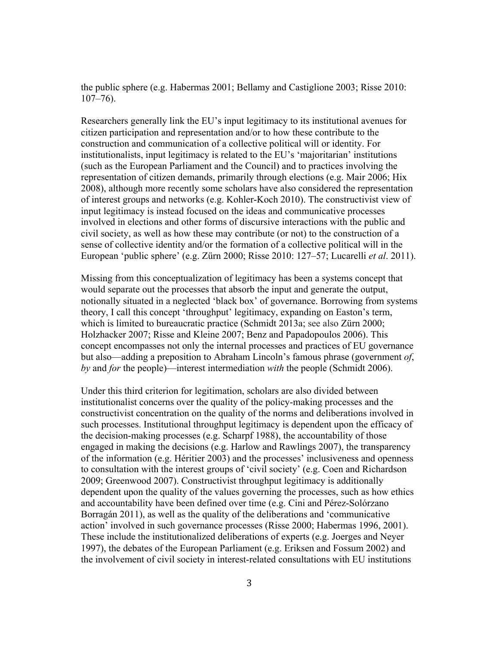the public sphere (e.g. Habermas 2001; Bellamy and Castiglione 2003; Risse 2010:  $107 - 76$ ).

Researchers generally link the EU's input legitimacy to its institutional avenues for citizen participation and representation and/or to how these contribute to the construction and communication of a collective political will or identity. For institutionalists, input legitimacy is related to the EU's 'majoritarian' institutions (such as the European Parliament and the Council) and to practices involving the representation of citizen demands, primarily through elections (e.g. Mair 2006; Hix 2008), although more recently some scholars have also considered the representation of interest groups and networks (e.g. Kohler-Koch 2010). The constructivist view of input legitimacy is instead focused on the ideas and communicative processes involved in elections and other forms of discursive interactions with the public and civil society, as well as how these may contribute (or not) to the construction of a sense of collective identity and/or the formation of a collective political will in the European 'public sphere' (e.g. Zürn 2000; Risse 2010: 127–57; Lucarelli *et al*. 2011).

Missing from this conceptualization of legitimacy has been a systems concept that would separate out the processes that absorb the input and generate the output, notionally situated in a neglected 'black box' of governance. Borrowing from systems theory, I call this concept 'throughput' legitimacy, expanding on Easton's term, which is limited to bureaucratic practice (Schmidt 2013a; see also Zürn 2000; Holzhacker 2007; Risse and Kleine 2007; Benz and Papadopoulos 2006). This concept encompasses not only the internal processes and practices of EU governance but also—adding a preposition to Abraham Lincoln's famous phrase (government *of*, *by* and *for* the people)—interest intermediation *with* the people (Schmidt 2006).

Under this third criterion for legitimation, scholars are also divided between institutionalist concerns over the quality of the policy-making processes and the constructivist concentration on the quality of the norms and deliberations involved in such processes. Institutional throughput legitimacy is dependent upon the efficacy of the decision-making processes (e.g. Scharpf 1988), the accountability of those engaged in making the decisions (e.g. Harlow and Rawlings 2007), the transparency of the information (e.g. Héritier 2003) and the processes' inclusiveness and openness to consultation with the interest groups of 'civil society' (e.g. Coen and Richardson 2009; Greenwood 2007). Constructivist throughput legitimacy is additionally dependent upon the quality of the values governing the processes, such as how ethics and accountability have been defined over time (e.g. Cini and Pérez-Solórzano Borragán 2011), as well as the quality of the deliberations and 'communicative action' involved in such governance processes (Risse 2000; Habermas 1996, 2001). These include the institutionalized deliberations of experts (e.g. Joerges and Neyer 1997), the debates of the European Parliament (e.g. Eriksen and Fossum 2002) and the involvement of civil society in interest-related consultations with EU institutions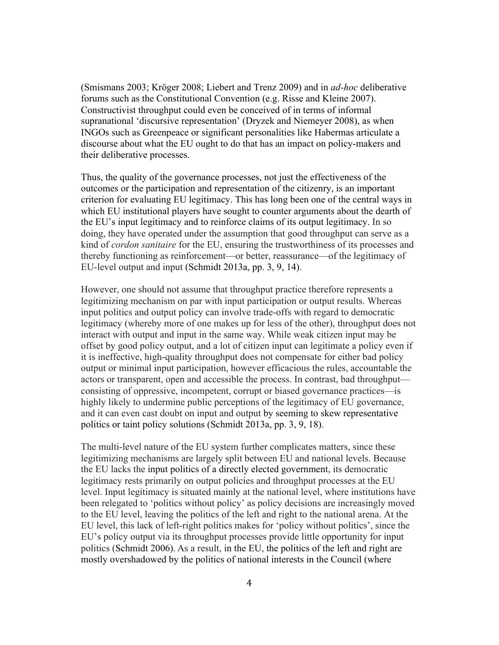(Smismans 2003; Kröger 2008; Liebert and Trenz 2009) and in *ad-hoc* deliberative forums such as the Constitutional Convention (e.g. Risse and Kleine 2007). Constructivist throughput could even be conceived of in terms of informal supranational 'discursive representation' (Dryzek and Niemeyer 2008), as when INGOs such as Greenpeace or significant personalities like Habermas articulate a discourse about what the EU ought to do that has an impact on policy-makers and their deliberative processes.

Thus, the quality of the governance processes, not just the effectiveness of the outcomes or the participation and representation of the citizenry, is an important criterion for evaluating EU legitimacy. This has long been one of the central ways in which EU institutional players have sought to counter arguments about the dearth of the EU's input legitimacy and to reinforce claims of its output legitimacy. In so doing, they have operated under the assumption that good throughput can serve as a kind of *cordon sanitaire* for the EU, ensuring the trustworthiness of its processes and thereby functioning as reinforcement—or better, reassurance—of the legitimacy of EU-level output and input (Schmidt 2013a, pp. 3, 9, 14).

However, one should not assume that throughput practice therefore represents a legitimizing mechanism on par with input participation or output results. Whereas input politics and output policy can involve trade-offs with regard to democratic legitimacy (whereby more of one makes up for less of the other), throughput does not interact with output and input in the same way. While weak citizen input may be offset by good policy output, and a lot of citizen input can legitimate a policy even if it is ineffective, high-quality throughput does not compensate for either bad policy output or minimal input participation, however efficacious the rules, accountable the actors or transparent, open and accessible the process. In contrast, bad throughput consisting of oppressive, incompetent, corrupt or biased governance practices—is highly likely to undermine public perceptions of the legitimacy of EU governance, and it can even cast doubt on input and output by seeming to skew representative politics or taint policy solutions (Schmidt 2013a, pp. 3, 9, 18).

The multi-level nature of the EU system further complicates matters, since these legitimizing mechanisms are largely split between EU and national levels. Because the EU lacks the input politics of a directly elected government, its democratic legitimacy rests primarily on output policies and throughput processes at the EU level. Input legitimacy is situated mainly at the national level, where institutions have been relegated to 'politics without policy' as policy decisions are increasingly moved to the EU level, leaving the politics of the left and right to the national arena. At the EU level, this lack of left-right politics makes for 'policy without politics', since the EU's policy output via its throughput processes provide little opportunity for input politics (Schmidt 2006). As a result, in the EU, the politics of the left and right are mostly overshadowed by the politics of national interests in the Council (where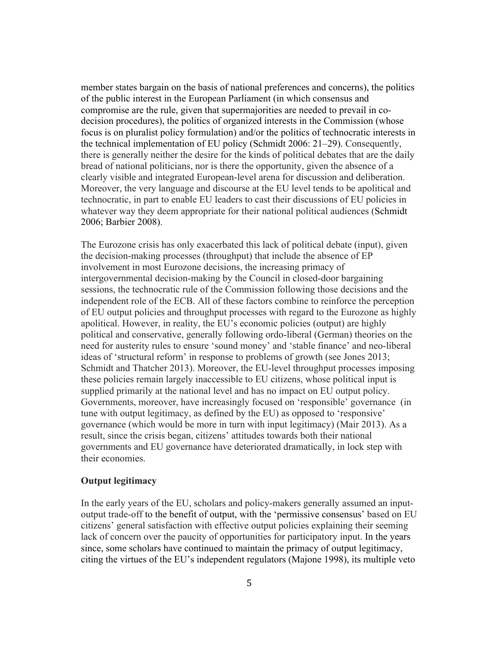member states bargain on the basis of national preferences and concerns), the politics of the public interest in the European Parliament (in which consensus and compromise are the rule, given that supermajorities are needed to prevail in codecision procedures), the politics of organized interests in the Commission (whose focus is on pluralist policy formulation) and/or the politics of technocratic interests in the technical implementation of EU policy (Schmidt 2006: 21–29). Consequently, there is generally neither the desire for the kinds of political debates that are the daily bread of national politicians, nor is there the opportunity, given the absence of a clearly visible and integrated European-level arena for discussion and deliberation. Moreover, the very language and discourse at the EU level tends to be apolitical and technocratic, in part to enable EU leaders to cast their discussions of EU policies in whatever way they deem appropriate for their national political audiences (Schmidt) 2006; Barbier 2008).

The Eurozone crisis has only exacerbated this lack of political debate (input), given the decision-making processes (throughput) that include the absence of EP involvement in most Eurozone decisions, the increasing primacy of intergovernmental decision-making by the Council in closed-door bargaining sessions, the technocratic rule of the Commission following those decisions and the independent role of the ECB. All of these factors combine to reinforce the perception of EU output policies and throughput processes with regard to the Eurozone as highly apolitical. However, in reality, the EU's economic policies (output) are highly political and conservative, generally following ordo-liberal (German) theories on the need for austerity rules to ensure 'sound money' and 'stable finance' and neo-liberal ideas of 'structural reform' in response to problems of growth (see Jones 2013; Schmidt and Thatcher 2013). Moreover, the EU-level throughput processes imposing these policies remain largely inaccessible to EU citizens, whose political input is supplied primarily at the national level and has no impact on EU output policy. Governments, moreover, have increasingly focused on 'responsible' governance (in tune with output legitimacy, as defined by the EU) as opposed to 'responsive' governance (which would be more in turn with input legitimacy) (Mair 2013). As a result, since the crisis began, citizens' attitudes towards both their national governments and EU governance have deteriorated dramatically, in lock step with their economies.

## **Output legitimacy**

In the early years of the EU, scholars and policy-makers generally assumed an inputoutput trade-off to the benefit of output, with the 'permissive consensus' based on EU citizens' general satisfaction with effective output policies explaining their seeming lack of concern over the paucity of opportunities for participatory input. In the years since, some scholars have continued to maintain the primacy of output legitimacy, citing the virtues of the EU's independent regulators (Majone 1998), its multiple veto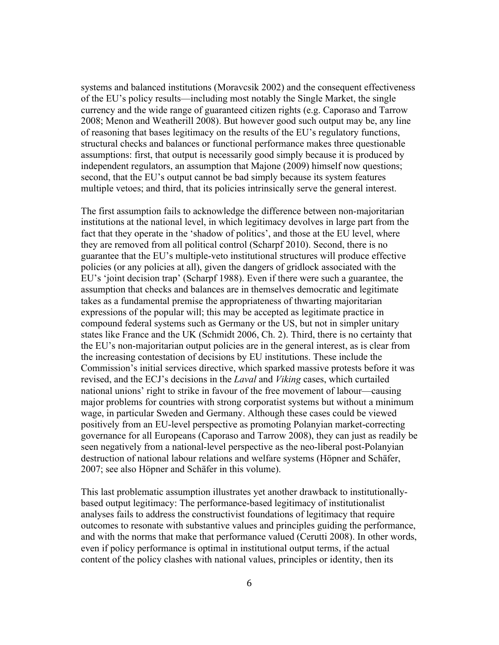systems and balanced institutions (Moravcsik 2002) and the consequent effectiveness of the EU's policy results—including most notably the Single Market, the single currency and the wide range of guaranteed citizen rights (e.g. Caporaso and Tarrow 2008; Menon and Weatherill 2008). But however good such output may be, any line of reasoning that bases legitimacy on the results of the EU's regulatory functions, structural checks and balances or functional performance makes three questionable assumptions: first, that output is necessarily good simply because it is produced by independent regulators, an assumption that Majone (2009) himself now questions; second, that the EU's output cannot be bad simply because its system features multiple vetoes; and third, that its policies intrinsically serve the general interest.

The first assumption fails to acknowledge the difference between non-majoritarian institutions at the national level, in which legitimacy devolves in large part from the fact that they operate in the 'shadow of politics', and those at the EU level, where they are removed from all political control (Scharpf 2010). Second, there is no guarantee that the EU's multiple-veto institutional structures will produce effective policies (or any policies at all), given the dangers of gridlock associated with the EU's 'joint decision trap' (Scharpf 1988). Even if there were such a guarantee, the assumption that checks and balances are in themselves democratic and legitimate takes as a fundamental premise the appropriateness of thwarting majoritarian expressions of the popular will; this may be accepted as legitimate practice in compound federal systems such as Germany or the US, but not in simpler unitary states like France and the UK (Schmidt 2006, Ch. 2). Third, there is no certainty that the EU's non-majoritarian output policies are in the general interest, as is clear from the increasing contestation of decisions by EU institutions. These include the Commission's initial services directive, which sparked massive protests before it was revised, and the ECJ's decisions in the *Laval* and *Viking* cases, which curtailed national unions' right to strike in favour of the free movement of labour—causing major problems for countries with strong corporatist systems but without a minimum wage, in particular Sweden and Germany. Although these cases could be viewed positively from an EU-level perspective as promoting Polanyian market-correcting governance for all Europeans (Caporaso and Tarrow 2008), they can just as readily be seen negatively from a national-level perspective as the neo-liberal post-Polanyian destruction of national labour relations and welfare systems (Höpner and Schäfer, 2007; see also Höpner and Schäfer in this volume).

This last problematic assumption illustrates yet another drawback to institutionallybased output legitimacy: The performance-based legitimacy of institutionalist analyses fails to address the constructivist foundations of legitimacy that require outcomes to resonate with substantive values and principles guiding the performance, and with the norms that make that performance valued (Cerutti 2008). In other words, even if policy performance is optimal in institutional output terms, if the actual content of the policy clashes with national values, principles or identity, then its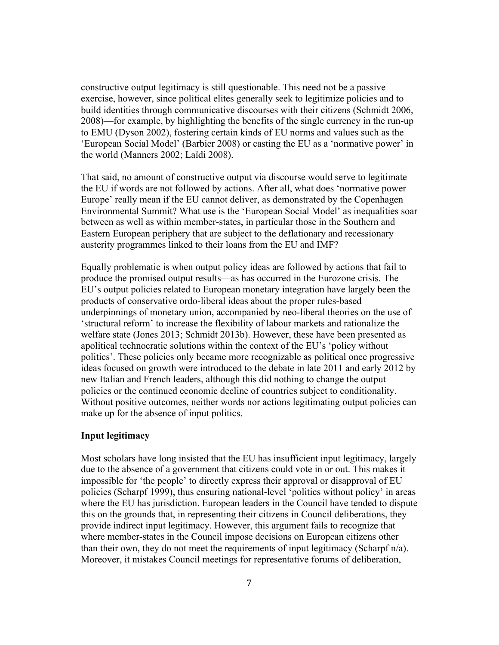constructive output legitimacy is still questionable. This need not be a passive exercise, however, since political elites generally seek to legitimize policies and to build identities through communicative discourses with their citizens (Schmidt 2006, 2008)—for example, by highlighting the benefits of the single currency in the run-up to EMU (Dyson 2002), fostering certain kinds of EU norms and values such as the 'European Social Model' (Barbier 2008) or casting the EU as a 'normative power' in the world (Manners 2002; Laïdi 2008).

That said, no amount of constructive output via discourse would serve to legitimate the EU if words are not followed by actions. After all, what does 'normative power Europe' really mean if the EU cannot deliver, as demonstrated by the Copenhagen Environmental Summit? What use is the 'European Social Model' as inequalities soar between as well as within member-states, in particular those in the Southern and Eastern European periphery that are subject to the deflationary and recessionary austerity programmes linked to their loans from the EU and IMF?

Equally problematic is when output policy ideas are followed by actions that fail to produce the promised output results—as has occurred in the Eurozone crisis. The EU's output policies related to European monetary integration have largely been the products of conservative ordo-liberal ideas about the proper rules-based underpinnings of monetary union, accompanied by neo-liberal theories on the use of 'structural reform' to increase the flexibility of labour markets and rationalize the welfare state (Jones 2013; Schmidt 2013b). However, these have been presented as apolitical technocratic solutions within the context of the EU's 'policy without politics'. These policies only became more recognizable as political once progressive ideas focused on growth were introduced to the debate in late 2011 and early 2012 by new Italian and French leaders, although this did nothing to change the output policies or the continued economic decline of countries subject to conditionality. Without positive outcomes, neither words nor actions legitimating output policies can make up for the absence of input politics.

### **Input legitimacy**

Most scholars have long insisted that the EU has insufficient input legitimacy, largely due to the absence of a government that citizens could vote in or out. This makes it impossible for 'the people' to directly express their approval or disapproval of EU policies (Scharpf 1999), thus ensuring national-level 'politics without policy' in areas where the EU has jurisdiction. European leaders in the Council have tended to dispute this on the grounds that, in representing their citizens in Council deliberations, they provide indirect input legitimacy. However, this argument fails to recognize that where member-states in the Council impose decisions on European citizens other than their own, they do not meet the requirements of input legitimacy (Scharpf  $n/a$ ). Moreover, it mistakes Council meetings for representative forums of deliberation,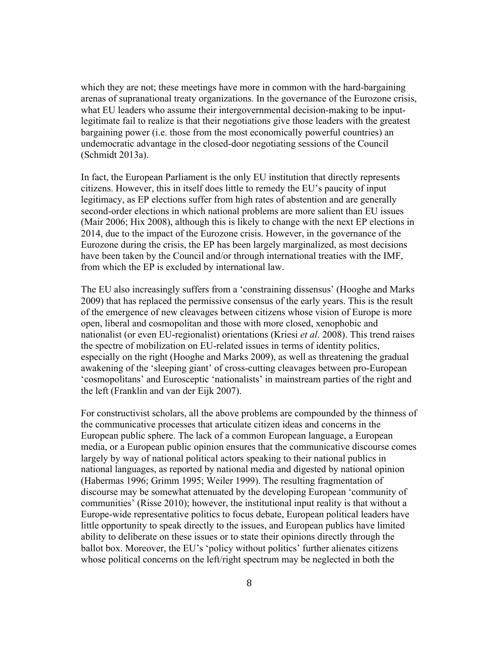which they are not; these meetings have more in common with the hard-bargaining arenas of supranational treaty organizations. In the governance of the Eurozone crisis, what EU leaders who assume their intergovernmental decision-making to be inputlegitimate fail to realize is that their negotiations give those leaders with the greatest bargaining power (i.e. those from the most economically powerful countries) an undemocratic advantage in the closed-door negotiating sessions of the Council (Schmidt 2013a).

In fact, the European Parliament is the only EU institution that directly represents citizens. However, this in itself does little to remedy the EU's paucity of input legitimacy, as EP elections suffer from high rates of abstention and are generally second-order elections in which national problems are more salient than EU issues (Mair 2006; Hix 2008), although this is likely to change with the next EP elections in 2014, due to the impact of the Eurozone crisis. However, in the governance of the Eurozone during the crisis, the EP has been largely marginalized, as most decisions have been taken by the Council and/or through international treaties with the IMF, from which the EP is excluded by international law.

The EU also increasingly suffers from a 'constraining dissensus' (Hooghe and Marks 2009) that has replaced the permissive consensus of the early years. This is the result of the emergence of new cleavages between citizens whose vision of Europe is more open, liberal and cosmopolitan and those with more closed, xenophobic and nationalist (or even EU-regionalist) orientations (Kriesi *et al*. 2008). This trend raises the spectre of mobilization on EU-related issues in terms of identity politics, especially on the right (Hooghe and Marks 2009), as well as threatening the gradual awakening of the 'sleeping giant' of cross-cutting cleavages between pro-European 'cosmopolitans' and Eurosceptic 'nationalists' in mainstream parties of the right and the left (Franklin and van der Eijk 2007).

For constructivist scholars, all the above problems are compounded by the thinness of the communicative processes that articulate citizen ideas and concerns in the European public sphere. The lack of a common European language, a European media, or a European public opinion ensures that the communicative discourse comes largely by way of national political actors speaking to their national publics in national languages, as reported by national media and digested by national opinion (Habermas 1996; Grimm 1995; Weiler 1999). The resulting fragmentation of discourse may be somewhat attenuated by the developing European 'community of communities' (Risse 2010); however, the institutional input reality is that without a Europe-wide representative politics to focus debate, European political leaders have little opportunity to speak directly to the issues, and European publics have limited ability to deliberate on these issues or to state their opinions directly through the ballot box. Moreover, the EU's 'policy without politics' further alienates citizens whose political concerns on the left/right spectrum may be neglected in both the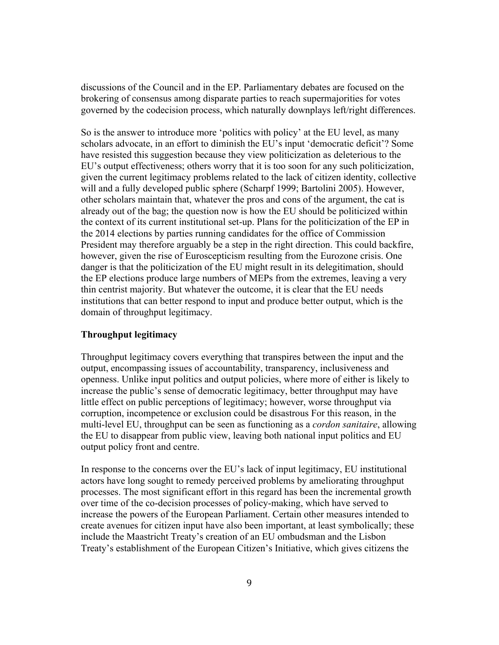discussions of the Council and in the EP. Parliamentary debates are focused on the brokering of consensus among disparate parties to reach supermajorities for votes governed by the codecision process, which naturally downplays left/right differences.

So is the answer to introduce more 'politics with policy' at the EU level, as many scholars advocate, in an effort to diminish the EU's input 'democratic deficit'? Some have resisted this suggestion because they view politicization as deleterious to the EU's output effectiveness; others worry that it is too soon for any such politicization, given the current legitimacy problems related to the lack of citizen identity, collective will and a fully developed public sphere (Scharpf 1999; Bartolini 2005). However, other scholars maintain that, whatever the pros and cons of the argument, the cat is already out of the bag; the question now is how the EU should be politicized within the context of its current institutional set-up. Plans for the politicization of the EP in the 2014 elections by parties running candidates for the office of Commission President may therefore arguably be a step in the right direction. This could backfire, however, given the rise of Euroscepticism resulting from the Eurozone crisis. One danger is that the politicization of the EU might result in its delegitimation, should the EP elections produce large numbers of MEPs from the extremes, leaving a very thin centrist majority. But whatever the outcome, it is clear that the EU needs institutions that can better respond to input and produce better output, which is the domain of throughput legitimacy.

# **Throughput legitimacy**

Throughput legitimacy covers everything that transpires between the input and the output, encompassing issues of accountability, transparency, inclusiveness and openness. Unlike input politics and output policies, where more of either is likely to increase the public's sense of democratic legitimacy, better throughput may have little effect on public perceptions of legitimacy; however, worse throughput via corruption, incompetence or exclusion could be disastrous For this reason, in the multi-level EU, throughput can be seen as functioning as a *cordon sanitaire*, allowing the EU to disappear from public view, leaving both national input politics and EU output policy front and centre.

In response to the concerns over the EU's lack of input legitimacy, EU institutional actors have long sought to remedy perceived problems by ameliorating throughput processes. The most significant effort in this regard has been the incremental growth over time of the co-decision processes of policy-making, which have served to increase the powers of the European Parliament. Certain other measures intended to create avenues for citizen input have also been important, at least symbolically; these include the Maastricht Treaty's creation of an EU ombudsman and the Lisbon Treaty's establishment of the European Citizen's Initiative, which gives citizens the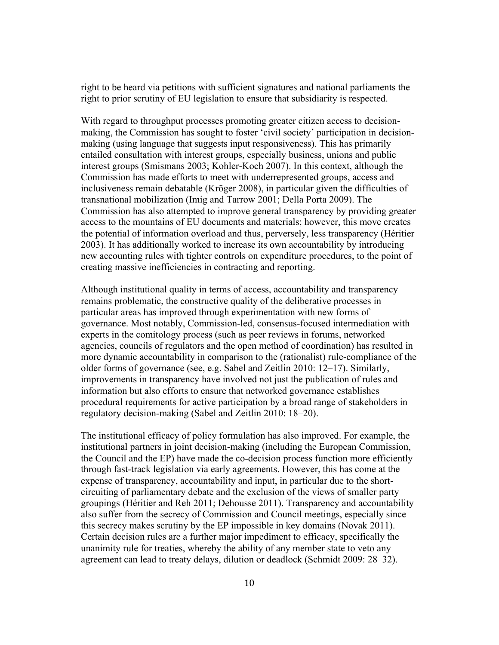right to be heard via petitions with sufficient signatures and national parliaments the right to prior scrutiny of EU legislation to ensure that subsidiarity is respected.

With regard to throughput processes promoting greater citizen access to decisionmaking, the Commission has sought to foster 'civil society' participation in decisionmaking (using language that suggests input responsiveness). This has primarily entailed consultation with interest groups, especially business, unions and public interest groups (Smismans 2003; Kohler-Koch 2007). In this context, although the Commission has made efforts to meet with underrepresented groups, access and inclusiveness remain debatable (Kröger 2008), in particular given the difficulties of transnational mobilization (Imig and Tarrow 2001; Della Porta 2009). The Commission has also attempted to improve general transparency by providing greater access to the mountains of EU documents and materials; however, this move creates the potential of information overload and thus, perversely, less transparency (Héritier 2003). It has additionally worked to increase its own accountability by introducing new accounting rules with tighter controls on expenditure procedures, to the point of creating massive inefficiencies in contracting and reporting.

Although institutional quality in terms of access, accountability and transparency remains problematic, the constructive quality of the deliberative processes in particular areas has improved through experimentation with new forms of governance. Most notably, Commission-led, consensus-focused intermediation with experts in the comitology process (such as peer reviews in forums, networked agencies, councils of regulators and the open method of coordination) has resulted in more dynamic accountability in comparison to the (rationalist) rule-compliance of the older forms of governance (see, e.g. Sabel and Zeitlin 2010: 12–17). Similarly, improvements in transparency have involved not just the publication of rules and information but also efforts to ensure that networked governance establishes procedural requirements for active participation by a broad range of stakeholders in regulatory decision-making (Sabel and Zeitlin 2010: 18–20).

The institutional efficacy of policy formulation has also improved. For example, the institutional partners in joint decision-making (including the European Commission, the Council and the EP) have made the co-decision process function more efficiently through fast-track legislation via early agreements. However, this has come at the expense of transparency, accountability and input, in particular due to the shortcircuiting of parliamentary debate and the exclusion of the views of smaller party groupings (Héritier and Reh 2011; Dehousse 2011). Transparency and accountability also suffer from the secrecy of Commission and Council meetings, especially since this secrecy makes scrutiny by the EP impossible in key domains (Novak 2011). Certain decision rules are a further major impediment to efficacy, specifically the unanimity rule for treaties, whereby the ability of any member state to veto any agreement can lead to treaty delays, dilution or deadlock (Schmidt 2009: 28–32).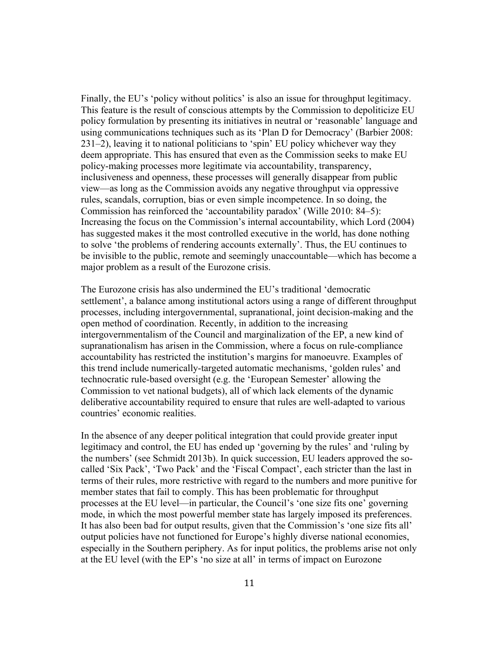Finally, the EU's 'policy without politics' is also an issue for throughput legitimacy. This feature is the result of conscious attempts by the Commission to depoliticize EU policy formulation by presenting its initiatives in neutral or 'reasonable' language and using communications techniques such as its 'Plan D for Democracy' (Barbier 2008: 231–2), leaving it to national politicians to 'spin' EU policy whichever way they deem appropriate. This has ensured that even as the Commission seeks to make EU policy-making processes more legitimate via accountability, transparency, inclusiveness and openness, these processes will generally disappear from public view—as long as the Commission avoids any negative throughput via oppressive rules, scandals, corruption, bias or even simple incompetence. In so doing, the Commission has reinforced the 'accountability paradox' (Wille 2010: 84–5): Increasing the focus on the Commission's internal accountability, which Lord (2004) has suggested makes it the most controlled executive in the world, has done nothing to solve 'the problems of rendering accounts externally'. Thus, the EU continues to be invisible to the public, remote and seemingly unaccountable—which has become a major problem as a result of the Eurozone crisis.

The Eurozone crisis has also undermined the EU's traditional 'democratic settlement', a balance among institutional actors using a range of different throughput processes, including intergovernmental, supranational, joint decision-making and the open method of coordination. Recently, in addition to the increasing intergovernmentalism of the Council and marginalization of the EP, a new kind of supranationalism has arisen in the Commission, where a focus on rule-compliance accountability has restricted the institution's margins for manoeuvre. Examples of this trend include numerically-targeted automatic mechanisms, 'golden rules' and technocratic rule-based oversight (e.g. the 'European Semester' allowing the Commission to vet national budgets), all of which lack elements of the dynamic deliberative accountability required to ensure that rules are well-adapted to various countries' economic realities.

In the absence of any deeper political integration that could provide greater input legitimacy and control, the EU has ended up 'governing by the rules' and 'ruling by the numbers' (see Schmidt 2013b). In quick succession, EU leaders approved the socalled 'Six Pack', 'Two Pack' and the 'Fiscal Compact', each stricter than the last in terms of their rules, more restrictive with regard to the numbers and more punitive for member states that fail to comply. This has been problematic for throughput processes at the EU level—in particular, the Council's 'one size fits one' governing mode, in which the most powerful member state has largely imposed its preferences. It has also been bad for output results, given that the Commission's 'one size fits all' output policies have not functioned for Europe's highly diverse national economies, especially in the Southern periphery. As for input politics, the problems arise not only at the EU level (with the EP's 'no size at all' in terms of impact on Eurozone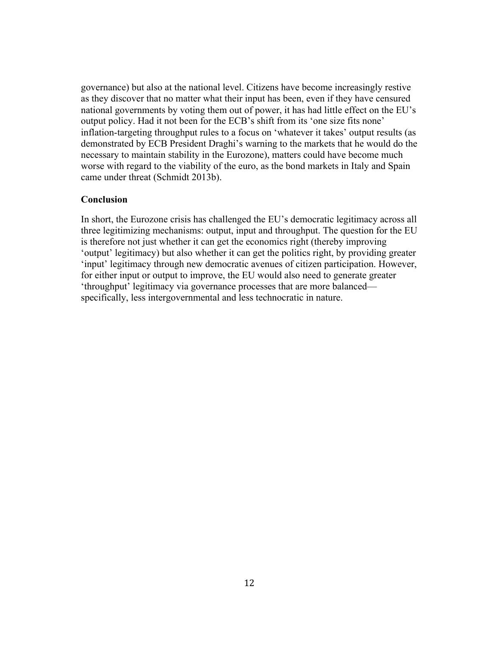governance) but also at the national level. Citizens have become increasingly restive as they discover that no matter what their input has been, even if they have censured national governments by voting them out of power, it has had little effect on the EU's output policy. Had it not been for the ECB's shift from its 'one size fits none' inflation-targeting throughput rules to a focus on 'whatever it takes' output results (as demonstrated by ECB President Draghi's warning to the markets that he would do the necessary to maintain stability in the Eurozone), matters could have become much worse with regard to the viability of the euro, as the bond markets in Italy and Spain came under threat (Schmidt 2013b).

# **Conclusion**

In short, the Eurozone crisis has challenged the EU's democratic legitimacy across all three legitimizing mechanisms: output, input and throughput. The question for the EU is therefore not just whether it can get the economics right (thereby improving 'output' legitimacy) but also whether it can get the politics right, by providing greater 'input' legitimacy through new democratic avenues of citizen participation. However, for either input or output to improve, the EU would also need to generate greater 'throughput' legitimacy via governance processes that are more balanced specifically, less intergovernmental and less technocratic in nature.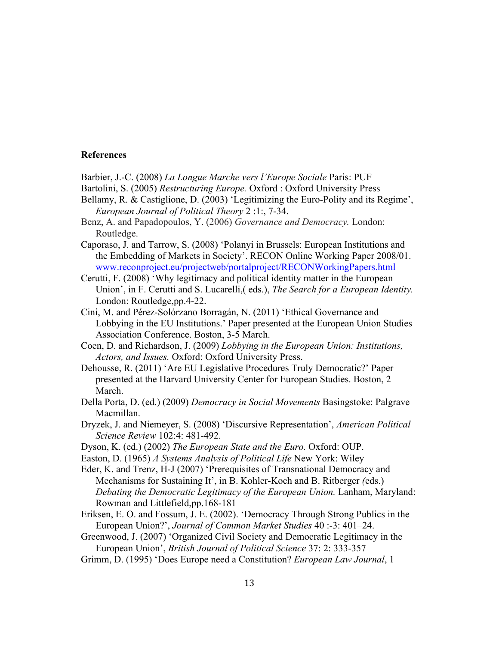#### **References**

Barbier, J.-C. (2008) *La Longue Marche vers l'Europe Sociale* Paris: PUF

- Bartolini, S. (2005) *Restructuring Europe.* Oxford : Oxford University Press
- Bellamy, R. & Castiglione, D. (2003) 'Legitimizing the Euro-Polity and its Regime', *European Journal of Political Theory* 2 :1:, 7-34.
- Benz, A. and Papadopoulos, Y. (2006) *Governance and Democracy.* London: Routledge.
- Caporaso, J. and Tarrow, S. (2008) 'Polanyi in Brussels: European Institutions and the Embedding of Markets in Society'. RECON Online Working Paper 2008/01. www.reconproject.eu/projectweb/portalproject/RECONWorkingPapers.html
- Cerutti, F. (2008) 'Why legitimacy and political identity matter in the European Union', in F. Cerutti and S. Lucarelli,( eds.), *The Search for a European Identity.* London: Routledge,pp.4-22.
- Cini, M. and Pérez-Solórzano Borragán, N. (2011) 'Ethical Governance and Lobbying in the EU Institutions.' Paper presented at the European Union Studies Association Conference. Boston, 3-5 March.
- Coen, D. and Richardson, J. (2009) *Lobbying in the European Union: Institutions, Actors, and Issues.* Oxford: Oxford University Press.
- Dehousse, R. (2011) 'Are EU Legislative Procedures Truly Democratic?' Paper presented at the Harvard University Center for European Studies. Boston, 2 March.
- Della Porta, D. (ed.) (2009) *Democracy in Social Movements* Basingstoke: Palgrave Macmillan.
- Dryzek, J. and Niemeyer, S. (2008) 'Discursive Representation', *American Political Science Review* 102:4: 481-492.
- Dyson, K. (ed.) (2002) *The European State and the Euro.* Oxford: OUP.
- Easton, D. (1965) *A Systems Analysis of Political Life* New York: Wiley
- Eder, K. and Trenz, H-J (2007) 'Prerequisites of Transnational Democracy and Mechanisms for Sustaining It', in B. Kohler-Koch and B. Ritberger *(*eds.) *Debating the Democratic Legitimacy of the European Union.* Lanham, Maryland: Rowman and Littlefield,pp.168-181
- Eriksen, E. O. and Fossum, J. E. (2002). 'Democracy Through Strong Publics in the European Union?', *Journal of Common Market Studies* 40 :-3: 401–24.
- Greenwood, J. (2007) 'Organized Civil Society and Democratic Legitimacy in the European Union', *British Journal of Political Science* 37: 2: 333-357
- Grimm, D. (1995) 'Does Europe need a Constitution? *European Law Journal*, 1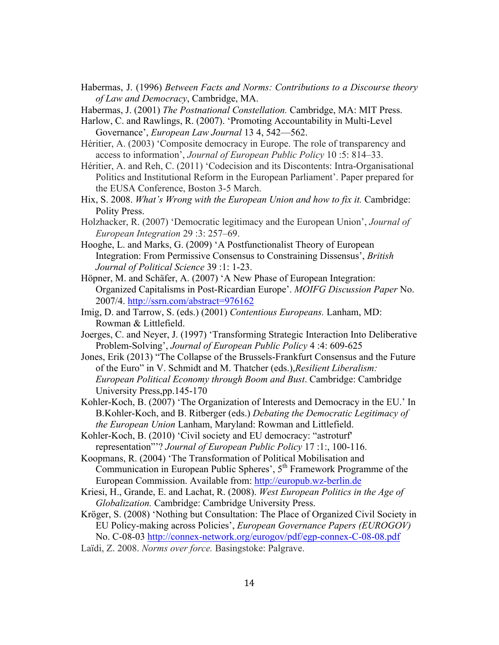- Habermas, J. (1996) *Between Facts and Norms: Contributions to a Discourse theory of Law and Democracy*, Cambridge, MA.
- Habermas, J. (2001) *The Postnational Constellation.* Cambridge, MA: MIT Press.
- Harlow, C. and Rawlings, R. (2007). 'Promoting Accountability in Multi-Level Governance', *European Law Journal* 13 4, 542—562.
- Héritier, A. (2003) 'Composite democracy in Europe. The role of transparency and access to information', *Journal of European Public Policy* 10 :5: 814–33.
- Héritier, A. and Reh, C. (2011) 'Codecision and its Discontents: Intra-Organisational Politics and Institutional Reform in the European Parliament'. Paper prepared for the EUSA Conference, Boston 3-5 March.
- Hix, S. 2008. *What's Wrong with the European Union and how to fix it.* Cambridge: Polity Press.
- Holzhacker, R. (2007) 'Democratic legitimacy and the European Union', *Journal of European Integration* 29 :3: 257–69.
- Hooghe, L. and Marks, G. (2009) 'A Postfunctionalist Theory of European Integration: From Permissive Consensus to Constraining Dissensus', *British Journal of Political Science* 39 :1: 1-23.
- Höpner, M. and Schäfer, A. (2007) 'A New Phase of European Integration: Organized Capitalisms in Post-Ricardian Europe'. *MOIFG Discussion Paper* No. 2007/4. http://ssrn.com/abstract=976162
- Imig, D. and Tarrow, S. (eds.) (2001) *Contentious Europeans.* Lanham, MD: Rowman & Littlefield.
- Joerges, C. and Neyer, J. (1997) 'Transforming Strategic Interaction Into Deliberative Problem-Solving', *Journal of European Public Policy* 4 :4: 609-625
- Jones, Erik (2013) "The Collapse of the Brussels-Frankfurt Consensus and the Future of the Euro" in V. Schmidt and M. Thatcher (eds.),*Resilient Liberalism: European Political Economy through Boom and Bust*. Cambridge: Cambridge University Press,pp.145-170
- Kohler-Koch, B. (2007) 'The Organization of Interests and Democracy in the EU.' In B.Kohler-Koch, and B. Ritberger (eds.) *Debating the Democratic Legitimacy of the European Union* Lanham, Maryland: Rowman and Littlefield.
- Kohler-Koch, B. (2010) 'Civil society and EU democracy: "astroturf' representation"'? *Journal of European Public Policy* 17 :1:, 100-116.
- Koopmans, R. (2004) 'The Transformation of Political Mobilisation and Communication in European Public Spheres', 5<sup>th</sup> Framework Programme of the European Commission. Available from: http://europub.wz-berlin.de
- Kriesi, H., Grande, E. and Lachat, R. (2008). *West European Politics in the Age of Globalization.* Cambridge: Cambridge University Press.
- Kröger, S. (2008) 'Nothing but Consultation: The Place of Organized Civil Society in EU Policy-making across Policies', *European Governance Papers (EUROGOV)* No. C-08-03 http://connex-network.org/eurogov/pdf/egp-connex-C-08-08.pdf
- Laïdi, Z. 2008. *Norms over force.* Basingstoke: Palgrave.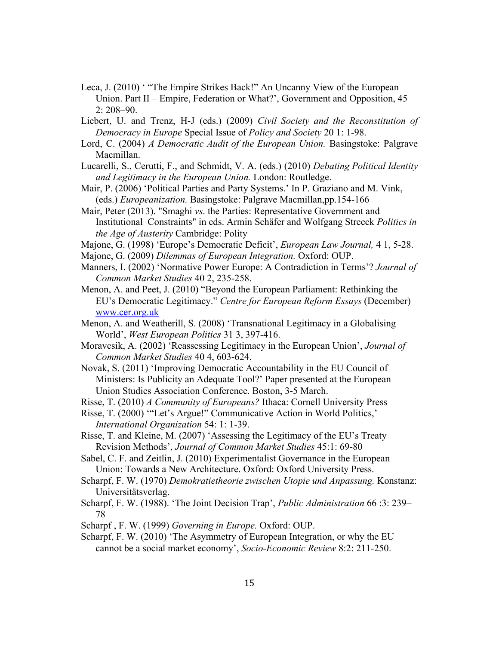- Leca, J. (2010) ' "The Empire Strikes Back!" An Uncanny View of the European Union. Part II – Empire, Federation or What?', Government and Opposition, 45 2: 208–90.
- Liebert, U. and Trenz, H-J (eds.) (2009) *Civil Society and the Reconstitution of Democracy in Europe* Special Issue of *Policy and Society* 20 1: 1-98.
- Lord, C. (2004) *A Democratic Audit of the European Union.* Basingstoke: Palgrave Macmillan.
- Lucarelli, S., Cerutti, F., and Schmidt, V. A. (eds.) (2010) *Debating Political Identity and Legitimacy in the European Union.* London: Routledge.
- Mair, P. (2006) 'Political Parties and Party Systems.' In P. Graziano and M. Vink, (eds.) *Europeanization.* Basingstoke: Palgrave Macmillan,pp.154-166
- Mair, Peter (2013). "Smaghi *vs*. the Parties: Representative Government and Institutional Constraints" in eds. Armin Schäfer and Wolfgang Streeck *Politics in the Age of Austerity* Cambridge: Polity
- Majone, G. (1998) 'Europe's Democratic Deficit', *European Law Journal,* 4 1, 5-28.
- Majone, G. (2009) *Dilemmas of European Integration.* Oxford: OUP.
- Manners, I. (2002) 'Normative Power Europe: A Contradiction in Terms'? *Journal of Common Market Studies* 40 2, 235-258.
- Menon, A. and Peet, J. (2010) "Beyond the European Parliament: Rethinking the EU's Democratic Legitimacy." *Centre for European Reform Essays* (December) www.cer.org.uk
- Menon, A. and Weatherill, S. (2008) 'Transnational Legitimacy in a Globalising World', *West European Politics* 31 3, 397-416.
- Moravcsik, A. (2002) 'Reassessing Legitimacy in the European Union', *Journal of Common Market Studies* 40 4, 603-624.
- Novak, S. (2011) 'Improving Democratic Accountability in the EU Council of Ministers: Is Publicity an Adequate Tool?' Paper presented at the European Union Studies Association Conference. Boston, 3-5 March.
- Risse, T. (2010) *A Community of Europeans?* Ithaca: Cornell University Press
- Risse, T. (2000) '"Let's Argue!" Communicative Action in World Politics,' *International Organization* 54: 1: 1-39.
- Risse, T. and Kleine, M. (2007) 'Assessing the Legitimacy of the EU's Treaty Revision Methods', *Journal of Common Market Studies* 45:1: 69-80
- Sabel, C. F. and Zeitlin, J. (2010) Experimentalist Governance in the European Union: Towards a New Architecture. Oxford: Oxford University Press.
- Scharpf, F. W. (1970) *Demokratietheorie zwischen Utopie und Anpassung.* Konstanz: Universitätsverlag.
- Scharpf, F. W. (1988). 'The Joint Decision Trap', *Public Administration* 66 :3: 239– 78
- Scharpf , F. W. (1999) *Governing in Europe.* Oxford: OUP.
- Scharpf, F. W. (2010) 'The Asymmetry of European Integration, or why the EU cannot be a social market economy', *Socio-Economic Review* 8:2: 211-250.